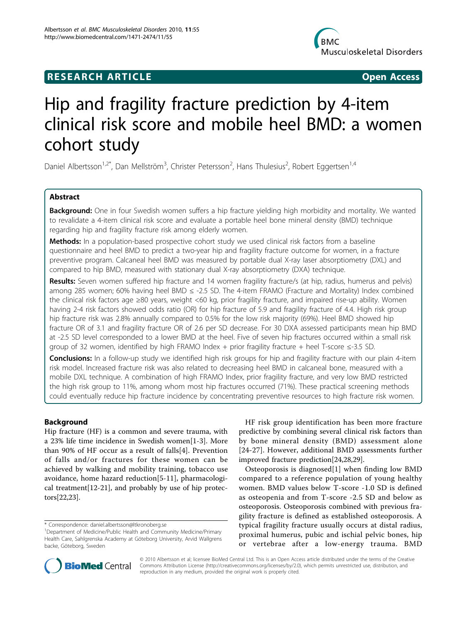## **RESEARCH ARTICLE Example 2018 CONSIDERING ACCESS**



# Hip and fragility fracture prediction by 4-item clinical risk score and mobile heel BMD: a women cohort study

Daniel Albertsson<sup>1,2\*</sup>, Dan Mellström<sup>3</sup>, Christer Petersson<sup>2</sup>, Hans Thulesius<sup>2</sup>, Robert Eggertsen<sup>1,4</sup>

## Abstract

Background: One in four Swedish women suffers a hip fracture yielding high morbidity and mortality. We wanted to revalidate a 4-item clinical risk score and evaluate a portable heel bone mineral density (BMD) technique regarding hip and fragility fracture risk among elderly women.

Methods: In a population-based prospective cohort study we used clinical risk factors from a baseline questionnaire and heel BMD to predict a two-year hip and fragility fracture outcome for women, in a fracture preventive program. Calcaneal heel BMD was measured by portable dual X-ray laser absorptiometry (DXL) and compared to hip BMD, measured with stationary dual X-ray absorptiometry (DXA) technique.

Results: Seven women suffered hip fracture and 14 women fragility fracture/s (at hip, radius, humerus and pelvis) among 285 women; 60% having heel BMD ≤ -2.5 SD. The 4-item FRAMO (Fracture and Mortality) Index combined the clinical risk factors age ≥80 years, weight <60 kg, prior fragility fracture, and impaired rise-up ability. Women having 2-4 risk factors showed odds ratio (OR) for hip fracture of 5.9 and fragility fracture of 4.4. High risk group hip fracture risk was 2.8% annually compared to 0.5% for the low risk majority (69%). Heel BMD showed hip fracture OR of 3.1 and fragility fracture OR of 2.6 per SD decrease. For 30 DXA assessed participants mean hip BMD at -2.5 SD level corresponded to a lower BMD at the heel. Five of seven hip fractures occurred within a small risk group of 32 women, identified by high FRAMO Index + prior fragility fracture + heel T-score ≤-3.5 SD.

**Conclusions:** In a follow-up study we identified high risk groups for hip and fragility fracture with our plain 4-item risk model. Increased fracture risk was also related to decreasing heel BMD in calcaneal bone, measured with a mobile DXL technique. A combination of high FRAMO Index, prior fragility fracture, and very low BMD restricted the high risk group to 11%, among whom most hip fractures occurred (71%). These practical screening methods could eventually reduce hip fracture incidence by concentrating preventive resources to high fracture risk women.

## Background

Hip fracture (HF) is a common and severe trauma, with a 23% life time incidence in Swedish women[[1-3](#page-9-0)]. More than 90% of HF occur as a result of falls[[4\]](#page-9-0). Prevention of falls and/or fractures for these women can be achieved by walking and mobility training, tobacco use avoidance, home hazard reduction[\[5-11](#page-9-0)], pharmacological treatment[[12](#page-9-0)-[21\]](#page-9-0), and probably by use of hip protectors[[22,23](#page-9-0)].

HF risk group identification has been more fracture predictive by combining several clinical risk factors than by bone mineral density (BMD) assessment alone [[24](#page-9-0)-[27\]](#page-9-0). However, additional BMD assessments further improved fracture prediction[\[24,28,29\]](#page-9-0).

Osteoporosis is diagnosed[[1\]](#page-9-0) when finding low BMD compared to a reference population of young healthy women. BMD values below T-score -1.0 SD is defined as osteopenia and from T-score -2.5 SD and below as osteoporosis. Osteoporosis combined with previous fragility fracture is defined as established osteoporosis. A typical fragility fracture usually occurs at distal radius, proximal humerus, pubic and ischial pelvic bones, hip or vertebrae after a low-energy trauma. BMD



© 2010 Albertsson et al; licensee BioMed Central Ltd. This is an Open Access article distributed under the terms of the Creative Commons Attribution License [\(http://creativecommons.org/licenses/by/2.0](http://creativecommons.org/licenses/by/2.0)), which permits unrestricted use, distribution, and reproduction in any medium, provided the original work is properly cited.

<sup>\*</sup> Correspondence: [daniel.albertsson@ltkronoberg.se](mailto:daniel.albertsson@ltkronoberg.se)

<sup>&</sup>lt;sup>1</sup>Department of Medicine/Public Health and Community Medicine/Primary Health Care, Sahlgrenska Academy at Göteborg University, Arvid Wallgrens backe, Göteborg, Sweden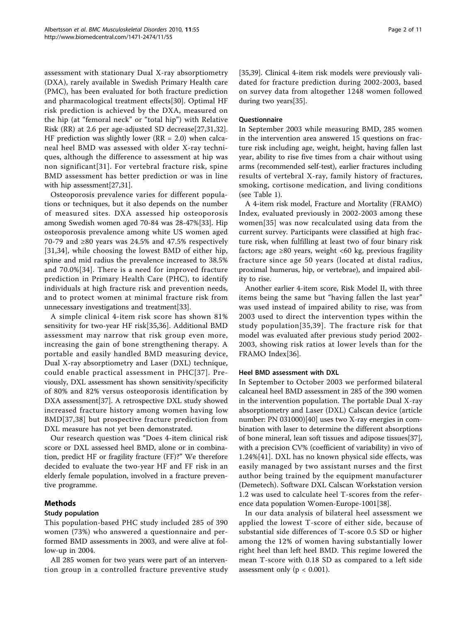assessment with stationary Dual X-ray absorptiometry (DXA), rarely available in Swedish Primary Health care (PMC), has been evaluated for both fracture prediction and pharmacological treatment effects[\[30](#page-9-0)]. Optimal HF risk prediction is achieved by the DXA, measured on the hip (at "femoral neck" or "total hip") with Relative Risk (RR) at 2.6 per age-adjusted SD decrease[\[27,31,32](#page-9-0)]. HF prediction was slightly lower ( $RR = 2.0$ ) when calcaneal heel BMD was assessed with older X-ray techniques, although the difference to assessment at hip was non significant[[31\]](#page-9-0). For vertebral fracture risk, spine BMD assessment has better prediction or was in line with hip assessment[[27,31\]](#page-9-0).

Osteoporosis prevalence varies for different populations or techniques, but it also depends on the number of measured sites. DXA assessed hip osteoporosis among Swedish women aged 70-84 was 28-47%[[33\]](#page-9-0). Hip osteoporosis prevalence among white US women aged 70-79 and ≥80 years was 24.5% and 47.5% respectively [[31](#page-9-0),[34\]](#page-9-0), while choosing the lowest BMD of either hip, spine and mid radius the prevalence increased to 38.5% and 70.0%[[34\]](#page-9-0). There is a need for improved fracture prediction in Primary Health Care (PHC), to identify individuals at high fracture risk and prevention needs, and to protect women at minimal fracture risk from unnecessary investigations and treatment[[33](#page-9-0)].

A simple clinical 4-item risk score has shown 81% sensitivity for two-year HF risk[\[35](#page-9-0),[36](#page-9-0)]. Additional BMD assessment may narrow that risk group even more, increasing the gain of bone strengthening therapy. A portable and easily handled BMD measuring device, Dual X-ray absorptiometry and Laser (DXL) technique, could enable practical assessment in PHC[[37](#page-9-0)]. Previously, DXL assessment has shown sensitivity/specificity of 80% and 82% versus osteoporosis identification by DXA assessment[[37](#page-9-0)]. A retrospective DXL study showed increased fracture history among women having low BMD[[37](#page-9-0),[38](#page-10-0)] but prospective fracture prediction from DXL measure has not yet been demonstrated.

Our research question was "Does 4-item clinical risk score or DXL assessed heel BMD, alone or in combination, predict HF or fragility fracture (FF)?" We therefore decided to evaluate the two-year HF and FF risk in an elderly female population, involved in a fracture preventive programme.

## Methods

## Study population

This population-based PHC study included 285 of 390 women (73%) who answered a questionnaire and performed BMD assessments in 2003, and were alive at follow-up in 2004.

All 285 women for two years were part of an intervention group in a controlled fracture preventive study [[35,](#page-9-0)[39\]](#page-10-0). Clinical 4-item risk models were previously validated for fracture prediction during 2002-2003, based on survey data from altogether 1248 women followed during two years[[35](#page-9-0)].

## **Questionnaire**

In September 2003 while measuring BMD, 285 women in the intervention area answered 15 questions on fracture risk including age, weight, height, having fallen last year, ability to rise five times from a chair without using arms (recommended self-test), earlier fractures including results of vertebral X-ray, family history of fractures, smoking, cortisone medication, and living conditions (see Table [1\)](#page-2-0).

A 4-item risk model, Fracture and Mortality (FRAMO) Index, evaluated previously in 2002-2003 among these women[[35\]](#page-9-0) was now recalculated using data from the current survey. Participants were classified at high fracture risk, when fulfilling at least two of four binary risk factors; age  $\geq 80$  years, weight <60 kg, previous fragility fracture since age 50 years (located at distal radius, proximal humerus, hip, or vertebrae), and impaired ability to rise.

Another earlier 4-item score, Risk Model II, with three items being the same but "having fallen the last year" was used instead of impaired ability to rise, was from 2003 used to direct the intervention types within the study population[[35](#page-9-0),[39\]](#page-10-0). The fracture risk for that model was evaluated after previous study period 2002- 2003, showing risk ratios at lower levels than for the FRAMO Index[[36\]](#page-9-0).

## Heel BMD assessment with DXL

In September to October 2003 we performed bilateral calcaneal heel BMD assessment in 285 of the 390 women in the intervention population. The portable Dual X-ray absorptiometry and Laser (DXL) Calscan device (article number: PN 031000)[[40](#page-10-0)] uses two X-ray energies in combination with laser to determine the different absorptions of bone mineral, lean soft tissues and adipose tissues[\[37](#page-9-0)], with a precision CV% (coefficient of variability) in vivo of 1.24%[\[41](#page-10-0)]. DXL has no known physical side effects, was easily managed by two assistant nurses and the first author being trained by the equipment manufacturer (Demetech). Software DXL Calscan Workstation version 1.2 was used to calculate heel T-scores from the reference data population Women-Europe-1001[[38\]](#page-10-0).

In our data analysis of bilateral heel assessment we applied the lowest T-score of either side, because of substantial side differences of T-score 0.5 SD or higher among the 12% of women having substantially lower right heel than left heel BMD. This regime lowered the mean T-score with 0.18 SD as compared to a left side assessment only ( $p < 0.001$ ).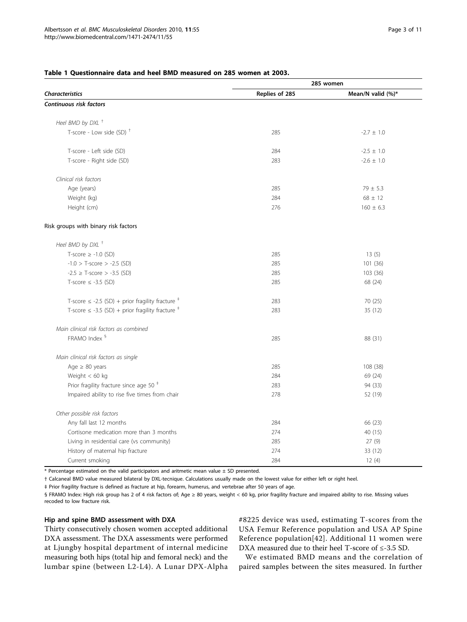|                                                                  | 285 women      |                       |  |  |  |
|------------------------------------------------------------------|----------------|-----------------------|--|--|--|
| <b>Characteristics</b>                                           | Replies of 285 | Mean/N valid $(\%)^*$ |  |  |  |
| Continuous risk factors                                          |                |                       |  |  |  |
| Heel BMD by DXL <sup>+</sup>                                     |                |                       |  |  |  |
| T-score - Low side (SD) <sup>+</sup>                             | 285            | $-2.7 \pm 1.0$        |  |  |  |
| T-score - Left side (SD)                                         | 284            | $-2.5 \pm 1.0$        |  |  |  |
| T-score - Right side (SD)                                        | 283            | $-2.6 \pm 1.0$        |  |  |  |
| Clinical risk factors                                            |                |                       |  |  |  |
| Age (years)                                                      | 285            | $79 \pm 5.3$          |  |  |  |
| Weight (kg)                                                      | 284            | $68 \pm 12$           |  |  |  |
| Height (cm)                                                      | 276            | $160 \pm 6.3$         |  |  |  |
| Risk groups with binary risk factors                             |                |                       |  |  |  |
| Heel BMD by DXL <sup>+</sup>                                     |                |                       |  |  |  |
| T-score $\geq$ -1.0 (SD)                                         | 285            | 13(5)                 |  |  |  |
| $-1.0$ > T-score > $-2.5$ (SD)                                   | 285            | 101 (36)              |  |  |  |
| $-2.5 \geq$ T-score $> -3.5$ (SD)                                | 285            | 103 (36)              |  |  |  |
| T-score $\leq$ -3.5 (SD)                                         | 285            | 68 (24)               |  |  |  |
| T-score $\le$ -2.5 (SD) + prior fragility fracture $^{\ddagger}$ | 283            | 70 (25)               |  |  |  |
| T-score $\le$ -3.5 (SD) + prior fragility fracture $*$           | 283            | 35 (12)               |  |  |  |
| Main clinical risk factors as combined                           |                |                       |  |  |  |
| FRAMO Index §                                                    | 285            | 88 (31)               |  |  |  |
| Main clinical risk factors as single                             |                |                       |  |  |  |
| Age $\geq 80$ years                                              | 285            | 108 (38)              |  |  |  |
| Weight $< 60$ kg                                                 | 284            | 69 (24)               |  |  |  |
| Prior fragility fracture since age 50 <sup>#</sup>               | 283            | 94 (33)               |  |  |  |
| Impaired ability to rise five times from chair                   | 278            | 52 (19)               |  |  |  |
| Other possible risk factors                                      |                |                       |  |  |  |
| Any fall last 12 months                                          | 284            | 66 (23)               |  |  |  |
| Cortisone medication more than 3 months                          | 274            | 40 (15)               |  |  |  |
| Living in residential care (vs community)                        | 285            | 27(9)                 |  |  |  |
| History of maternal hip fracture                                 | 274            | 33 (12)               |  |  |  |
| Current smoking                                                  | 284            | 12(4)                 |  |  |  |

#### <span id="page-2-0"></span>Table 1 Questionnaire data and heel BMD measured on 285 women at 2003.

 $*$  Percentage estimated on the valid participators and aritmetic mean value  $\pm$  SD presented.

† Calcaneal BMD value measured bilateral by DXL-tecnique. Calculations usually made on the lowest value for either left or right heel.

‡ Prior fragility fracture is defined as fracture at hip, forearm, humerus, and vertebrae after 50 years of age.

§ FRAMO Index: High risk group has 2 of 4 risk factors of; Age ≥ 80 years, weight < 60 kg, prior fragility fracture and impaired ability to rise. Missing values recoded to low fracture risk.

#### Hip and spine BMD assessment with DXA

Thirty consecutively chosen women accepted additional DXA assessment. The DXA assessments were performed at Ljungby hospital department of internal medicine measuring both hips (total hip and femoral neck) and the lumbar spine (between L2-L4). A Lunar DPX-Alpha #8225 device was used, estimating T-scores from the USA Femur Reference population and USA AP Spine Reference population[[42\]](#page-10-0). Additional 11 women were DXA measured due to their heel T-score of ≤-3.5 SD.

We estimated BMD means and the correlation of paired samples between the sites measured. In further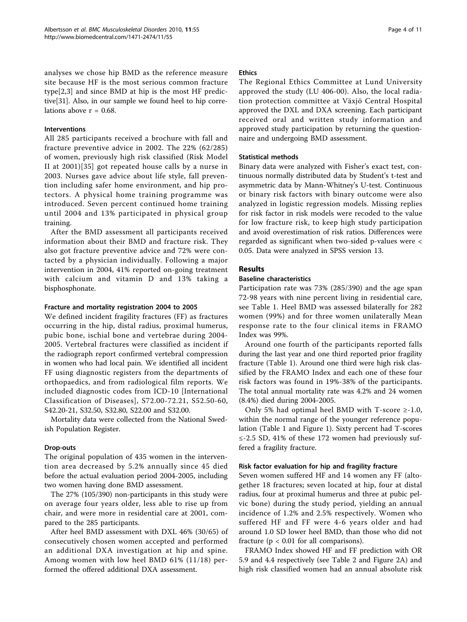analyses we chose hip BMD as the reference measure site because HF is the most serious common fracture type[[2,3\]](#page-9-0) and since BMD at hip is the most HF predictive[\[31](#page-9-0)]. Also, in our sample we found heel to hip correlations above  $r = 0.68$ .

## Interventions

All 285 participants received a brochure with fall and fracture preventive advice in 2002. The 22% (62/285) of women, previously high risk classified (Risk Model II at 2001)[[35\]](#page-9-0) got repeated house calls by a nurse in 2003. Nurses gave advice about life style, fall prevention including safer home environment, and hip protectors. A physical home training programme was introduced. Seven percent continued home training until 2004 and 13% participated in physical group training.

After the BMD assessment all participants received information about their BMD and fracture risk. They also got fracture preventive advice and 72% were contacted by a physician individually. Following a major intervention in 2004, 41% reported on-going treatment with calcium and vitamin D and 13% taking a bisphosphonate.

#### Fracture and mortality registration 2004 to 2005

We defined incident fragility fractures (FF) as fractures occurring in the hip, distal radius, proximal humerus, pubic bone, ischial bone and vertebrae during 2004- 2005. Vertebral fractures were classified as incident if the radiograph report confirmed vertebral compression in women who had local pain. We identified all incident FF using diagnostic registers from the departments of orthopaedics, and from radiological film reports. We included diagnostic codes from ICD-10 [International Classification of Diseases], S72.00-72.21, S52.50-60, S42.20-21, S32.50, S32.80, S22.00 and S32.00.

Mortality data were collected from the National Swedish Population Register.

#### Drop-outs

The original population of 435 women in the intervention area decreased by 5.2% annually since 45 died before the actual evaluation period 2004-2005, including two women having done BMD assessment.

The 27% (105/390) non-participants in this study were on average four years older, less able to rise up from chair, and were more in residential care at 2001, compared to the 285 participants.

After heel BMD assessment with DXL 46% (30/65) of consecutively chosen women accepted and performed an additional DXA investigation at hip and spine. Among women with low heel BMD 61% (11/18) performed the offered additional DXA assessment.

#### Ethics

The Regional Ethics Committee at Lund University approved the study (LU 406-00). Also, the local radiation protection committee at Växjö Central Hospital approved the DXL and DXA screening. Each participant received oral and written study information and approved study participation by returning the questionnaire and undergoing BMD assessment.

#### Statistical methods

Binary data were analyzed with Fisher's exact test, continuous normally distributed data by Student's t-test and asymmetric data by Mann-Whitney's U-test. Continuous or binary risk factors with binary outcome were also analyzed in logistic regression models. Missing replies for risk factor in risk models were recoded to the value for low fracture risk, to keep high study participation and avoid overestimation of risk ratios. Differences were regarded as significant when two-sided p-values were < 0.05. Data were analyzed in SPSS version 13.

#### Results

#### Baseline characteristics

Participation rate was 73% (285/390) and the age span 72-98 years with nine percent living in residential care, see Table [1](#page-2-0). Heel BMD was assessed bilaterally for 282 women (99%) and for three women unilaterally Mean response rate to the four clinical items in FRAMO Index was 99%.

Around one fourth of the participants reported falls during the last year and one third reported prior fragility fracture (Table [1\)](#page-2-0). Around one third were high risk classified by the FRAMO Index and each one of these four risk factors was found in 19%-38% of the participants. The total annual mortality rate was 4.2% and 24 women (8.4%) died during 2004-2005.

Only 5% had optimal heel BMD with T-score  $\ge$ -1.0, within the normal range of the younger reference population (Table [1](#page-2-0) and Figure [1](#page-4-0)). Sixty percent had T-scores ≤-2.5 SD, 41% of these 172 women had previously suffered a fragility fracture.

#### Risk factor evaluation for hip and fragility fracture

Seven women suffered HF and 14 women any FF (altogether 18 fractures; seven located at hip, four at distal radius, four at proximal humerus and three at pubic pelvic bone) during the study period, yielding an annual incidence of 1.2% and 2.5% respectively. Women who suffered HF and FF were 4-6 years older and had around 1.0 SD lower heel BMD, than those who did not fracture ( $p < 0.01$  for all comparisons).

FRAMO Index showed HF and FF prediction with OR 5.9 and 4.4 respectively (see Table [2](#page-5-0) and Figure [2A](#page-6-0)) and high risk classified women had an annual absolute risk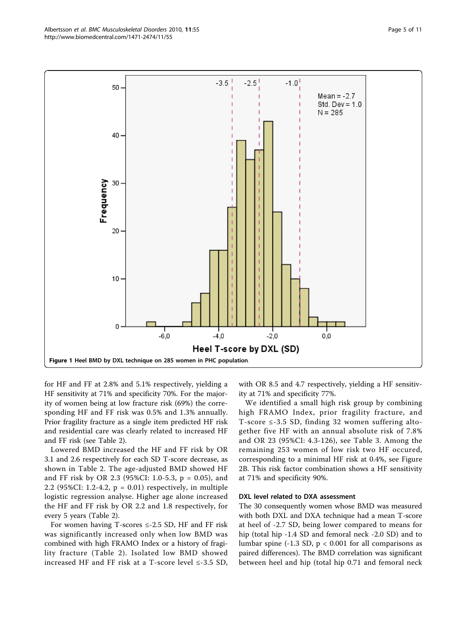<span id="page-4-0"></span>

for HF and FF at 2.8% and 5.1% respectively, yielding a HF sensitivity at 71% and specificity 70%. For the majority of women being at low fracture risk (69%) the corresponding HF and FF risk was 0.5% and 1.3% annually. Prior fragility fracture as a single item predicted HF risk and residential care was clearly related to increased HF and FF risk (see Table [2](#page-5-0)).

Lowered BMD increased the HF and FF risk by OR 3.1 and 2.6 respectively for each SD T-score decrease, as shown in Table [2](#page-5-0). The age-adjusted BMD showed HF and FF risk by OR 2.3 (95%CI: 1.0-5.3, p = 0.05), and 2.2 (95%CI: 1.2-4.2,  $p = 0.01$ ) respectively, in multiple logistic regression analyse. Higher age alone increased the HF and FF risk by OR 2.2 and 1.8 respectively, for every 5 years (Table [2](#page-5-0)).

For women having T-scores  $\le$  -2.5 SD, HF and FF risk was significantly increased only when low BMD was combined with high FRAMO Index or a history of fragility fracture (Table [2](#page-5-0)). Isolated low BMD showed increased HF and FF risk at a T-score level  $\leq$ -3.5 SD, with OR 8.5 and 4.7 respectively, yielding a HF sensitivity at 71% and specificity 77%.

We identified a small high risk group by combining high FRAMO Index, prior fragility fracture, and T-score ≤-3.5 SD, finding 32 women suffering altogether five HF with an annual absolute risk of 7.8% and OR 23 (95%CI: 4.3-126), see Table [3](#page-6-0). Among the remaining 253 women of low risk two HF occured, corresponding to a minimal HF risk at 0.4%, see Figure [2B.](#page-6-0) This risk factor combination shows a HF sensitivity at 71% and specificity 90%.

#### DXL level related to DXA assessment

The 30 consequently women whose BMD was measured with both DXL and DXA technique had a mean T-score at heel of -2.7 SD, being lower compared to means for hip (total hip -1.4 SD and femoral neck -2.0 SD) and to lumbar spine (-1.3 SD,  $p < 0.001$  for all comparisons as paired differences). The BMD correlation was significant between heel and hip (total hip 0.71 and femoral neck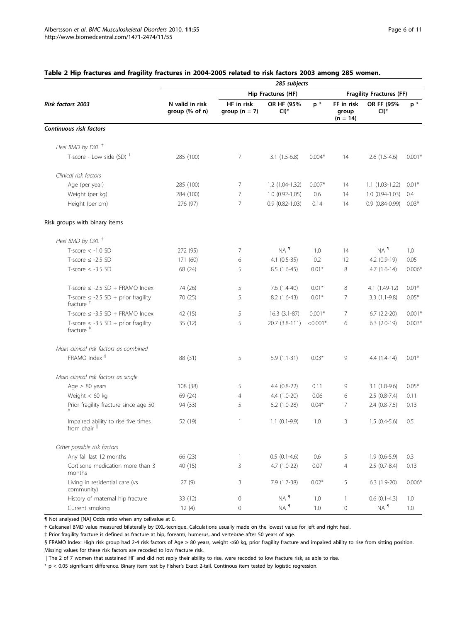| <b>Risk factors 2003</b>                                          | 285 subjects                      |                               |                      |                                 |                                   |                      |                |  |
|-------------------------------------------------------------------|-----------------------------------|-------------------------------|----------------------|---------------------------------|-----------------------------------|----------------------|----------------|--|
|                                                                   |                                   |                               | Hip Fractures (HF)   | <b>Fragility Fractures (FF)</b> |                                   |                      |                |  |
|                                                                   | N valid in risk<br>group (% of n) | HF in risk<br>group $(n = 7)$ | OR HF (95%<br>$CI)*$ | $p *$                           | FF in risk<br>group<br>$(n = 14)$ | OR FF (95%<br>$Cl)*$ | $\mathsf{p}$ * |  |
| Continuous risk factors                                           |                                   |                               |                      |                                 |                                   |                      |                |  |
| Heel BMD by DXL <sup>+</sup>                                      |                                   |                               |                      |                                 |                                   |                      |                |  |
| T-score - Low side (SD) $+$                                       | 285 (100)                         | 7                             | $3.1(1.5-6.8)$       | $0.004*$                        | 14                                | $2.6(1.5-4.6)$       | $0.001*$       |  |
| Clinical risk factors                                             |                                   |                               |                      |                                 |                                   |                      |                |  |
| Age (per year)                                                    | 285 (100)                         | 7                             | $1.2(1.04-1.32)$     | $0.007*$                        | 14                                | $1.1(1.03-1.22)$     | $0.01*$        |  |
| Weight (per kg)                                                   | 284 (100)                         | 7                             | $1.0(0.92 - 1.05)$   | 0.6                             | 14                                | $1.0(0.94-1.03)$     | 0.4            |  |
| Height (per cm)                                                   | 276 (97)                          | 7                             | $0.9(0.82 - 1.03)$   | 0.14                            | 14                                | $0.9(0.84-0.99)$     | $0.03*$        |  |
| Risk groups with binary items                                     |                                   |                               |                      |                                 |                                   |                      |                |  |
| Heel BMD by DXL <sup>+</sup>                                      |                                   |                               |                      |                                 |                                   |                      |                |  |
| $T-score < -1.0 SD$                                               | 272 (95)                          | 7                             | NA <sup>1</sup>      | 1.0                             | 14                                | $NA$ <sup>1</sup>    | 1.0            |  |
| T-score $\le$ -2.5 SD                                             | 171 (60)                          | 6                             | $4.1(0.5-35)$        | 0.2                             | 12                                | 4.2 (0.9-19)         | 0.05           |  |
| T-score $\leq$ -3.5 SD                                            | 68 (24)                           | 5                             | 8.5 (1.6-45)         | $0.01*$                         | 8                                 | $4.7(1.6-14)$        | $0.006*$       |  |
| T-score $\le$ -2.5 SD + FRAMO Index                               | 74 (26)                           | 5                             | $7.6(1.4-40)$        | $0.01*$                         | 8                                 | 4.1 (1.49-12)        | $0.01*$        |  |
| T-score $\leq$ -2.5 SD + prior fragility<br>fracture $†$          | 70 (25)                           | 5                             | $8.2(1.6-43)$        | $0.01*$                         | 7                                 | $3.3(1.1-9.8)$       | $0.05*$        |  |
| T-score $\leq$ -3.5 SD + FRAMO Index                              | 42 (15)                           | 5                             | $16.3(3.1-87)$       | $0.001*$                        | 7                                 | $6.7$ $(2.2-20)$     | $0.001*$       |  |
| T-score $\leq$ -3.5 SD + prior fragility<br>fracture <sup>#</sup> | 35 (12)                           | 5                             | 20.7 (3.8-111)       | $< 0.001*$                      | 6                                 | $6.3$ $(2.0-19)$     | $0.003*$       |  |
| Main clinical risk factors as combined                            |                                   |                               |                      |                                 |                                   |                      |                |  |
| FRAMO Index <sup>§</sup>                                          | 88 (31)                           | 5                             | $5.9(1.1-31)$        | $0.03*$                         | 9                                 | $4.4(1.4-14)$        | $0.01*$        |  |
| Main clinical risk factors as single                              |                                   |                               |                      |                                 |                                   |                      |                |  |
| Age $\geq 80$ years                                               | 108 (38)                          | 5                             | $4.4(0.8-22)$        | 0.11                            | 9                                 | $3.1(1.0-9.6)$       | $0.05*$        |  |
| Weight $< 60$ kg                                                  | 69 (24)                           | $\overline{4}$                | $4.4(1.0-20)$        | 0.06                            | 6                                 | $2.5(0.8-7.4)$       | 0.11           |  |
| Prior fragility fracture since age 50                             | 94 (33)                           | 5                             | $5.2(1.0-28)$        | $0.04*$                         | 7                                 | $2.4(0.8-7.5)$       | 0.13           |  |
| Impaired ability to rise five times<br>from chair                 | 52 (19)                           | 1                             | $1.1(0.1-9.9)$       | 1.0                             | 3                                 | $1.5(0.4-5.6)$       | 0.5            |  |
| Other possible risk factors                                       |                                   |                               |                      |                                 |                                   |                      |                |  |
| Any fall last 12 months                                           | 66 (23)                           | $\mathbf{1}$                  | $0.5(0.1-4.6)$       | 0.6                             | 5                                 | $1.9(0.6-5.9)$       | 0.3            |  |
| Cortisone medication more than 3<br>months                        | 40 (15)                           | 3                             | $4.7(1.0-22)$        | 0.07                            | $\overline{4}$                    | $2.5(0.7-8.4)$       | 0.13           |  |
| Living in residential care (vs<br>community)                      | 27(9)                             | 3                             | 7.9 (1.7-38)         | $0.02*$                         | 5                                 | $6.3(1.9-20)$        | $0.006*$       |  |
| History of maternal hip fracture                                  | 33 (12)                           | $\mathbf 0$                   | $NA$ <sup>1</sup>    | 1.0                             | $\mathbf{1}$                      | $0.6(0.1-4.3)$       | 1.0            |  |
| Current smoking                                                   | 12(4)                             | $\mathbf 0$                   | $NA$ <sup>1</sup>    | 1.0                             | $\mathsf{O}\xspace$               | $NA$ <sup>1</sup>    | 1.0            |  |

## <span id="page-5-0"></span>Table 2 Hip fractures and fragility fractures in 2004-2005 related to risk factors 2003 among 285 women.

¶ Not analysed [NA] Odds ratio when any cellvalue at 0.

† Calcaneal BMD value measured bilaterally by DXL-tecnique. Calculations usually made on the lowest value for left and right heel.

‡ Prior fragility fracture is defined as fracture at hip, forearm, humerus, and vertebrae after 50 years of age.

§ FRAMO Index: High risk group had 2-4 risk factors of Age ≥ 80 years, weight <60 kg, prior fragility fracture and impaired ability to rise from sitting position. Missing values for these risk factors are recoded to low fracture risk.

|| The 2 of 7 women that sustained HF and did not reply their ability to rise, were recoded to low fracture risk, as able to rise.

\* p < 0.05 significant difference. Binary item test by Fisher's Exact 2-tail. Continous item tested by logistic regression.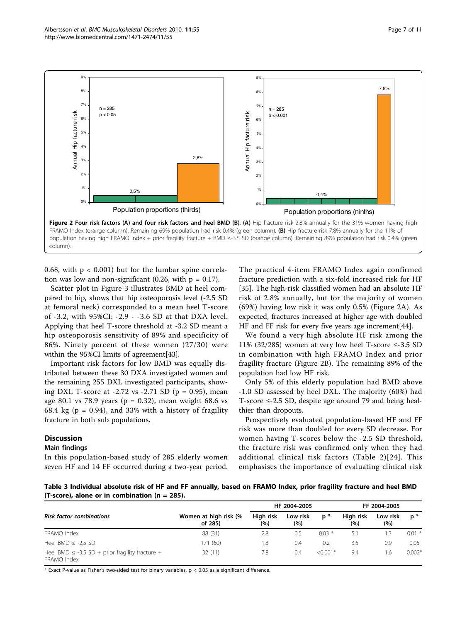<span id="page-6-0"></span>

0.68, with  $p < 0.001$ ) but for the lumbar spine correlation was low and non-significant  $(0.26, \text{ with } p = 0.17)$ .

Scatter plot in Figure [3](#page-7-0) illustrates BMD at heel compared to hip, shows that hip osteoporosis level (-2.5 SD at femoral neck) corresponded to a mean heel T-score of -3.2, with 95%CI: -2.9 - -3.6 SD at that DXA level. Applying that heel T-score threshold at -3.2 SD meant a hip osteoporosis sensitivity of 89% and specificity of 86%. Ninety percent of these women (27/30) were within the 95%CI limits of agreement[\[43\]](#page-10-0).

Important risk factors for low BMD was equally distributed between these 30 DXA investigated women and the remaining 255 DXL investigated participants, showing DXL T-score at -2.72 vs -2.71 SD ( $p = 0.95$ ), mean age 80.1 vs 78.9 years ( $p = 0.32$ ), mean weight 68.6 vs 68.4 kg ( $p = 0.94$ ), and 33% with a history of fragility fracture in both sub populations.

## **Discussion**

#### Main findings

In this population-based study of 285 elderly women seven HF and 14 FF occurred during a two-year period.

The practical 4-item FRAMO Index again confirmed fracture prediction with a six-fold increased risk for HF [[35\]](#page-9-0). The high-risk classified women had an absolute HF risk of 2.8% annually, but for the majority of women (69%) having low risk it was only 0.5% (Figure 2A). As expected, fractures increased at higher age with doubled HF and FF risk for every five years age increment[\[44\]](#page-10-0).

We found a very high absolute HF risk among the 11% (32/285) women at very low heel T-score  $\leq$ -3.5 SD in combination with high FRAMO Index and prior fragility fracture (Figure 2B). The remaining 89% of the population had low HF risk.

Only 5% of this elderly population had BMD above -1.0 SD assessed by heel DXL. The majority (60%) had T-score ≤-2.5 SD, despite age around 79 and being healthier than dropouts.

Prospectively evaluated population-based HF and FF risk was more than doubled for every SD decrease. For women having T-scores below the -2.5 SD threshold, the fracture risk was confirmed only when they had additional clinical risk factors (Table [2\)](#page-5-0)[[24\]](#page-9-0). This emphasises the importance of evaluating clinical risk

Table 3 Individual absolute risk of HF and FF annually, based on FRAMO Index, prior fragility fracture and heel BMD (T-score), alone or in combination ( $n = 285$ ).

| <b>Risk factor combinations</b>                                     | Women at high risk (%<br>of 285) | HF 2004-2005     |                 |            | FF 2004-2005     |                 |          |
|---------------------------------------------------------------------|----------------------------------|------------------|-----------------|------------|------------------|-----------------|----------|
|                                                                     |                                  | High risk<br>(%) | Low risk<br>(%) | $p^*$      | High risk<br>(%) | Low risk<br>(%) | $p^*$    |
| FRAMO Index                                                         | 88 (31)                          | 2.8              | 0.5             | $0.03*$    | 5.1              | .3              | $0.01$ * |
| Heel BMD $\le$ -2.5 SD                                              | 171 (60)                         | 1.8              | 0.4             | 0.2        | 3.5              | 0.9             | 0.05     |
| Heel BMD $\leq$ -3.5 SD + prior fragility fracture +<br>FRAMO Index | 32(11)                           | 7.8              | 0.4             | $< 0.001*$ | 9.4              | 1.6             | $0.002*$ |

 $*$  Exact P-value as Fisher's two-sided test for binary variables,  $p < 0.05$  as a significant difference.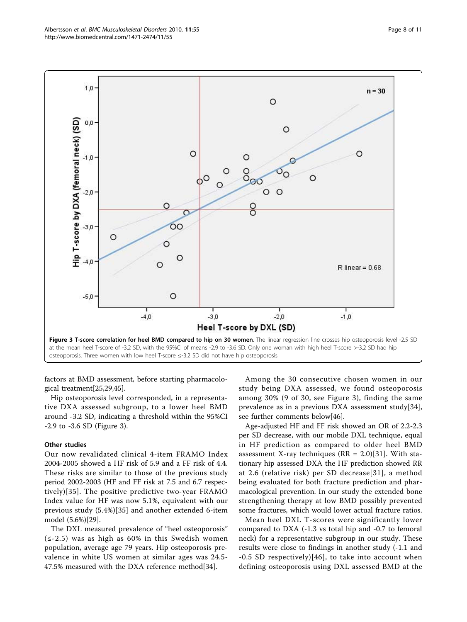<span id="page-7-0"></span>

factors at BMD assessment, before starting pharmacological treatment[\[25,29](#page-9-0)[,45\]](#page-10-0).

Hip osteoporosis level corresponded, in a representative DXA assessed subgroup, to a lower heel BMD around -3.2 SD, indicating a threshold within the 95%CI -2.9 to -3.6 SD (Figure 3).

#### Other studies

Our now revalidated clinical 4-item FRAMO Index 2004-2005 showed a HF risk of 5.9 and a FF risk of 4.4. These risks are similar to those of the previous study period 2002-2003 (HF and FF risk at 7.5 and 6.7 respectively)[[35\]](#page-9-0). The positive predictive two-year FRAMO Index value for HF was now 5.1%, equivalent with our previous study (5.4%)[[35\]](#page-9-0) and another extended 6-item model (5.6%)[\[29](#page-9-0)].

The DXL measured prevalence of "heel osteoporosis"  $(\leq -2.5)$  was as high as 60% in this Swedish women population, average age 79 years. Hip osteoporosis prevalence in white US women at similar ages was 24.5- 47.5% measured with the DXA reference method[\[34\]](#page-9-0).

Among the 30 consecutive chosen women in our study being DXA assessed, we found osteoporosis among 30% (9 of 30, see Figure 3), finding the same prevalence as in a previous DXA assessment study[[34](#page-9-0)], see further comments below[[46](#page-10-0)].

Age-adjusted HF and FF risk showed an OR of 2.2-2.3 per SD decrease, with our mobile DXL technique, equal in HF prediction as compared to older heel BMD assessment X-ray techniques ( $RR = 2.0$ )[[31\]](#page-9-0). With stationary hip assessed DXA the HF prediction showed RR at 2.6 (relative risk) per SD decrease[[31](#page-9-0)], a method being evaluated for both fracture prediction and pharmacological prevention. In our study the extended bone strengthening therapy at low BMD possibly prevented some fractures, which would lower actual fracture ratios.

Mean heel DXL T-scores were significantly lower compared to DXA (-1.3 vs total hip and -0.7 to femoral neck) for a representative subgroup in our study. These results were close to findings in another study (-1.1 and -0.5 SD respectively)[[46](#page-10-0)], to take into account when defining osteoporosis using DXL assessed BMD at the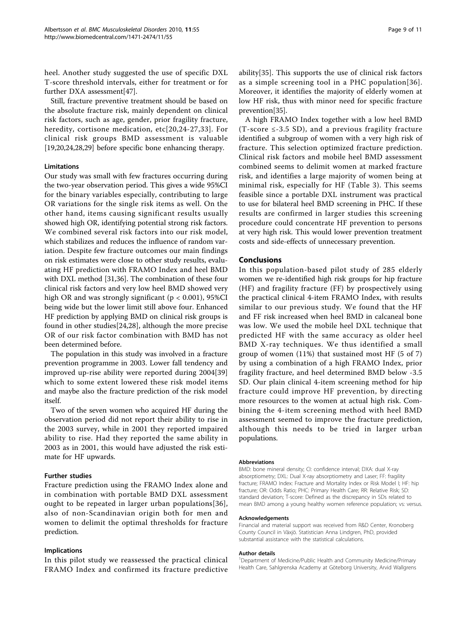heel. Another study suggested the use of specific DXL T-score threshold intervals, either for treatment or for further DXA assessment[\[47\]](#page-10-0).

Still, fracture preventive treatment should be based on the absolute fracture risk, mainly dependent on clinical risk factors, such as age, gender, prior fragility fracture, heredity, cortisone medication, etc[[20,24-27](#page-9-0),[33](#page-9-0)]. For clinical risk groups BMD assessment is valuable [[19,20,24](#page-9-0),[28,29](#page-9-0)] before specific bone enhancing therapy.

## Limitations

Our study was small with few fractures occurring during the two-year observation period. This gives a wide 95%CI for the binary variables especially, contributing to large OR variations for the single risk items as well. On the other hand, items causing significant results usually showed high OR, identifying potential strong risk factors. We combined several risk factors into our risk model, which stabilizes and reduces the influence of random variation. Despite few fracture outcomes our main findings on risk estimates were close to other study results, evaluating HF prediction with FRAMO Index and heel BMD with DXL method [[31,36](#page-9-0)]. The combination of these four clinical risk factors and very low heel BMD showed very high OR and was strongly significant ( $p < 0.001$ ), 95%CI being wide but the lower limit still above four. Enhanced HF prediction by applying BMD on clinical risk groups is found in other studies[[24,28\]](#page-9-0), although the more precise OR of our risk factor combination with BMD has not been determined before.

The population in this study was involved in a fracture prevention programme in 2003. Lower fall tendency and improved up-rise ability were reported during 2004[\[39](#page-10-0)] which to some extent lowered these risk model items and maybe also the fracture prediction of the risk model itself.

Two of the seven women who acquired HF during the observation period did not report their ability to rise in the 2003 survey, while in 2001 they reported impaired ability to rise. Had they reported the same ability in 2003 as in 2001, this would have adjusted the risk estimate for HF upwards.

#### Further studies

Fracture prediction using the FRAMO Index alone and in combination with portable BMD DXL assessment ought to be repeated in larger urban populations[[36\]](#page-9-0), also of non-Scandinavian origin both for men and women to delimit the optimal thresholds for fracture prediction.

#### Implications

In this pilot study we reassessed the practical clinical FRAMO Index and confirmed its fracture predictive ability[\[35](#page-9-0)]. This supports the use of clinical risk factors as a simple screening tool in a PHC population[[36\]](#page-9-0). Moreover, it identifies the majority of elderly women at low HF risk, thus with minor need for specific fracture prevention[\[35](#page-9-0)].

A high FRAMO Index together with a low heel BMD  $(T-score \le -3.5 SD)$ , and a previous fragility fracture identified a subgroup of women with a very high risk of fracture. This selection optimized fracture prediction. Clinical risk factors and mobile heel BMD assessment combined seems to delimit women at marked fracture risk, and identifies a large majority of women being at minimal risk, especially for HF (Table [3\)](#page-6-0). This seems feasible since a portable DXL instrument was practical to use for bilateral heel BMD screening in PHC. If these results are confirmed in larger studies this screening procedure could concentrate HF prevention to persons at very high risk. This would lower prevention treatment costs and side-effects of unnecessary prevention.

#### Conclusions

In this population-based pilot study of 285 elderly women we re-identified high risk groups for hip fracture (HF) and fragility fracture (FF) by prospectively using the practical clinical 4-item FRAMO Index, with results similar to our previous study. We found that the HF and FF risk increased when heel BMD in calcaneal bone was low. We used the mobile heel DXL technique that predicted HF with the same accuracy as older heel BMD X-ray techniques. We thus identified a small group of women (11%) that sustained most HF (5 of 7) by using a combination of a high FRAMO Index, prior fragility fracture, and heel determined BMD below -3.5 SD. Our plain clinical 4-item screening method for hip fracture could improve HF prevention, by directing more resources to the women at actual high risk. Combining the 4-item screening method with heel BMD assessment seemed to improve the fracture prediction, although this needs to be tried in larger urban populations.

#### Abbreviations

BMD: bone mineral density; CI: confidence interval; DXA: dual X-ray absorptiometry; DXL: Dual X-ray absorptiometry and Laser; FF: fragility fracture; FRAMO Index: Fracture and Mortality Index or Risk Model I; HF: hip fracture; OR: Odds Ratio; PHC: Primary Health Care; RR: Relative Risk; SD: standard deviation; T-score: Defined as the discrepancy in SDs related to mean BMD among a young healthy women reference population; vs: versus.

#### Acknowledgements

Financial and material support was received from R&D Center, Kronoberg County Council in Växjö. Statistician Anna Lindgren, PhD, provided substantial assistance with the statistical calculations.

#### Author details

<sup>1</sup>Department of Medicine/Public Health and Community Medicine/Primary Health Care, Sahlgrenska Academy at Göteborg University, Arvid Wallgrens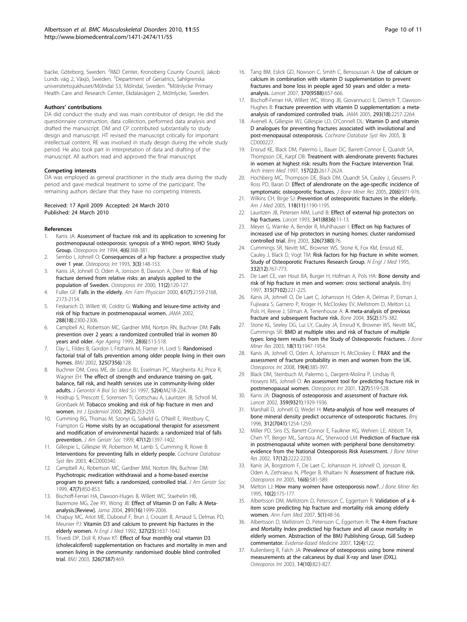<span id="page-9-0"></span>backe, Göteborg, Sweden. <sup>2</sup>R&D Center, Kronoberg County Council, Jakob Lunds väg 2, Växjö, Sweden. <sup>3</sup>Department of Geriatrics, Sahlgrenska universitetssjukhuset/Mölndal S3, Mölndal, Sweden. <sup>4</sup>Mölnlycke Primary Health Care and Research Center, Ekdalavägen 2, Mölnlycke, Sweden.

#### Authors' contributions

DA did conduct the study and was main contributor of design. He did the questionnaire construction, data collection, performed data analysis and drafted the manuscript. DM and CP contributed substantially to study design and manuscript. HT revised the manuscript critically for important intellectual content. RE was involved in study design during the whole study period. He also took part in interpretation of data and drafting of the manuscript. All authors read and approved the final manuscript.

#### Competing interests

DA was employed as general practitioner in the study area during the study period and gave medical treatment to some of the participant. The remaining authors declare that they have no competing interests.

#### Received: 17 April 2009 Accepted: 24 March 2010 Published: 24 March 2010

#### References

- Kanis JA: [Assessment of fracture risk and its application to screening for](http://www.ncbi.nlm.nih.gov/pubmed/7696835?dopt=Abstract) [postmenopausal osteoporosis: synopsis of a WHO report. WHO Study](http://www.ncbi.nlm.nih.gov/pubmed/7696835?dopt=Abstract) [Group.](http://www.ncbi.nlm.nih.gov/pubmed/7696835?dopt=Abstract) Osteoporos Int 1994, 4(6):368-381.
- 2. Sernbo I, Johnell O: [Consequences of a hip fracture: a prospective study](http://www.ncbi.nlm.nih.gov/pubmed/8481591?dopt=Abstract) [over 1 year.](http://www.ncbi.nlm.nih.gov/pubmed/8481591?dopt=Abstract) Osteoporos Int 1993, 3(3):148-153.
- 3. Kanis JA, Johnell O, Oden A, Jonsson B, Dawson A, Dere W: [Risk of hip](http://www.ncbi.nlm.nih.gov/pubmed/10793869?dopt=Abstract) [fracture derived from relative risks: an analysis applied to the](http://www.ncbi.nlm.nih.gov/pubmed/10793869?dopt=Abstract) [population of Sweden.](http://www.ncbi.nlm.nih.gov/pubmed/10793869?dopt=Abstract) Osteoporos Int 2000, 11(2):120-127.
- 4. Fuller GF: [Falls in the elderly.](http://www.ncbi.nlm.nih.gov/pubmed/10779256?dopt=Abstract) Am Fam Physician 2000, 61(7):2159-2168, 2173-2154.
- 5. Feskanich D, Willett W, Colditz G: [Walking and leisure-time activity and](http://www.ncbi.nlm.nih.gov/pubmed/12425707?dopt=Abstract) [risk of hip fracture in postmenopausal women.](http://www.ncbi.nlm.nih.gov/pubmed/12425707?dopt=Abstract) JAMA 2002, 288(18):2300-2306.
- Campbell AJ, Robertson MC, Gardner MM, Norton RN, Buchner DM: [Falls](http://www.ncbi.nlm.nih.gov/pubmed/10604501?dopt=Abstract) [prevention over 2 years: a randomized controlled trial in women 80](http://www.ncbi.nlm.nih.gov/pubmed/10604501?dopt=Abstract) [years and older.](http://www.ncbi.nlm.nih.gov/pubmed/10604501?dopt=Abstract) Age Ageing 1999, 28(6):513-518.
- 7. Day L, Fildes B, Gordon I, Fitzharris M, Flamer H, Lord S: [Randomised](http://www.ncbi.nlm.nih.gov/pubmed/12130606?dopt=Abstract) [factorial trial of falls prevention among older people living in their own](http://www.ncbi.nlm.nih.gov/pubmed/12130606?dopt=Abstract) [homes.](http://www.ncbi.nlm.nih.gov/pubmed/12130606?dopt=Abstract) BMJ 2002, 325(7356):128.
- 8. Buchner DM, Cress ME, de Lateur BJ, Esselman PC, Margherita AJ, Price R, Wagner EH: [The effect of strength and endurance training on gait,](http://www.ncbi.nlm.nih.gov/pubmed/9224433?dopt=Abstract) [balance, fall risk, and health services use in community-living older](http://www.ncbi.nlm.nih.gov/pubmed/9224433?dopt=Abstract) [adults.](http://www.ncbi.nlm.nih.gov/pubmed/9224433?dopt=Abstract) J Gerontol A Biol Sci Med Sci 1997, 52(4):M218-224.
- 9. Hoidrup S, Prescott E, Sorensen TI, Gottschau A, Lauritzen JB, Schroll M, Gronbaek M: [Tobacco smoking and risk of hip fracture in men and](http://www.ncbi.nlm.nih.gov/pubmed/10817121?dopt=Abstract) [women.](http://www.ncbi.nlm.nih.gov/pubmed/10817121?dopt=Abstract) Int J Epidemiol 2000, 29(2):253-259.
- 10. Cumming RG, Thomas M, Szonyi G, Salkeld G, O'Neill E, Westbury C, Frampton G: [Home visits by an occupational therapist for assessment](http://www.ncbi.nlm.nih.gov/pubmed/10591231?dopt=Abstract) [and modification of environmental hazards: a randomized trial of falls](http://www.ncbi.nlm.nih.gov/pubmed/10591231?dopt=Abstract) [prevention.](http://www.ncbi.nlm.nih.gov/pubmed/10591231?dopt=Abstract) J Am Geriatr Soc 1999, 47(12):1397-1402.
- 11. Gillespie L, Gillespie W, Robertson M, Lamb S, Cumming R, Rowe B: [Interventions for preventing falls in elderly people.](http://www.ncbi.nlm.nih.gov/pubmed/14583918?dopt=Abstract) Cochrane Database Syst Rev 2003, 4:CD000340.
- 12. Campbell AJ, Robertson MC, Gardner MM, Norton RN, Buchner DM: [Psychotropic medication withdrawal and a home-based exercise](http://www.ncbi.nlm.nih.gov/pubmed/10404930?dopt=Abstract) [program to prevent falls: a randomized, controlled trial.](http://www.ncbi.nlm.nih.gov/pubmed/10404930?dopt=Abstract) J Am Geriatr Soc 1999, 47(7):850-853.
- 13. Bischoff-Ferrari HA, Dawson-Huges B, Willett WC, Staehelin HB, Bazemore MG, Zee RY, Wong JB: [Effect of Vitamin D on Falls: A Meta](http://www.ncbi.nlm.nih.gov/pubmed/15113819?dopt=Abstract)[analysis.\[Review\].](http://www.ncbi.nlm.nih.gov/pubmed/15113819?dopt=Abstract) Jama 2004, 291(16):1999-2006.
- 14. Chapuy MC, Arlot ME, Duboeuf F, Brun J, Crouzet B, Arnaud S, Delmas PD, Meunier PJ: [Vitamin D3 and calcium to prevent hip fractures in the](http://www.ncbi.nlm.nih.gov/pubmed/1331788?dopt=Abstract) [elderly women.](http://www.ncbi.nlm.nih.gov/pubmed/1331788?dopt=Abstract) N Engl J Med 1992, 327(23):1637-1642.
- 15. Trivedi DP, Doll R, Khaw KT: [Effect of four monthly oral vitamin D3](http://www.ncbi.nlm.nih.gov/pubmed/12609940?dopt=Abstract) [\(cholecalciferol\) supplementation on fractures and mortality in men and](http://www.ncbi.nlm.nih.gov/pubmed/12609940?dopt=Abstract) [women living in the community: randomised double blind controlled](http://www.ncbi.nlm.nih.gov/pubmed/12609940?dopt=Abstract) [trial.](http://www.ncbi.nlm.nih.gov/pubmed/12609940?dopt=Abstract) BMJ 2003, 326(7387):469.
- 16. Tang BM, Eslick GD, Nowson C, Smith C, Bensoussan A: [Use of calcium or](http://www.ncbi.nlm.nih.gov/pubmed/17720017?dopt=Abstract) [calcium in combination with vitamin D supplementation to prevent](http://www.ncbi.nlm.nih.gov/pubmed/17720017?dopt=Abstract) [fractures and bone loss in people aged 50 years and older: a meta](http://www.ncbi.nlm.nih.gov/pubmed/17720017?dopt=Abstract)[analysis.](http://www.ncbi.nlm.nih.gov/pubmed/17720017?dopt=Abstract) Lancet 2007, 370(9588):657-666.
- 17. Bischoff-Ferrari HA, Willett WC, Wong JB, Giovannucci E, Dietrich T, Dawson-Hughes B: [Fracture prevention with vitamin D supplementation: a meta](http://www.ncbi.nlm.nih.gov/pubmed/15886381?dopt=Abstract)[analysis of randomized controlled trials.](http://www.ncbi.nlm.nih.gov/pubmed/15886381?dopt=Abstract) JAMA 2005, 293(18):2257-2264.
- 18. Avenell A, Gillespie WJ, Gillespie LD, O'Connell DL: [Vitamin D and vitamin](http://www.ncbi.nlm.nih.gov/pubmed/16034849?dopt=Abstract) [D analogues for preventing fractures associated with involutional and](http://www.ncbi.nlm.nih.gov/pubmed/16034849?dopt=Abstract) [post-menopausal osteoporosis.](http://www.ncbi.nlm.nih.gov/pubmed/16034849?dopt=Abstract) Cochrane Database Syst Rev 2005, 3: CD000227.
- 19. Ensrud KE, Black DM, Palermo L, Bauer DC, Barrett-Connor E, Quandt SA, Thompson DE, Karpf DB: [Treatment with alendronate prevents fractures](http://www.ncbi.nlm.nih.gov/pubmed/9531231?dopt=Abstract) [in women at highest risk: results from the Fracture Intervention Trial.](http://www.ncbi.nlm.nih.gov/pubmed/9531231?dopt=Abstract) Arch Intern Med 1997, 157(22):2617-2624.
- 20. Hochberg MC, Thompson DE, Black DM, Quandt SA, Cauley J, Geusens P, Ross PD, Baran D: [Effect of alendronate on the age-specific incidence of](http://www.ncbi.nlm.nih.gov/pubmed/15883637?dopt=Abstract) [symptomatic osteoporotic fractures.](http://www.ncbi.nlm.nih.gov/pubmed/15883637?dopt=Abstract) J Bone Miner Res 2005, 20(6):971-976.
- 21. Wilkins CH, Birge SJ: [Prevention of osteoporotic fractures in the elderly.](http://www.ncbi.nlm.nih.gov/pubmed/16271899?dopt=Abstract) Am J Med 2005, 118(11):1190-1195.
- 22. Lauritzen JB, Petersen MM, Lund B: [Effect of external hip protectors on](http://www.ncbi.nlm.nih.gov/pubmed/8093267?dopt=Abstract) [hip fractures.](http://www.ncbi.nlm.nih.gov/pubmed/8093267?dopt=Abstract) Lancet 1993, 341(8836):11-13.
- 23. Meyer G, Warnke A, Bender R, Muhlhauser I: [Effect on hip fractures of](http://www.ncbi.nlm.nih.gov/pubmed/12521969?dopt=Abstract) [increased use of hip protectors in nursing homes: cluster randomised](http://www.ncbi.nlm.nih.gov/pubmed/12521969?dopt=Abstract) [controlled trial.](http://www.ncbi.nlm.nih.gov/pubmed/12521969?dopt=Abstract) Bmj 2003, 326(7380):76.
- 24. Cummings SR, Nevitt MC, Browner WS, Stone K, Fox KM, Ensrud KE, Cauley J, Black D, Vogt TM: [Risk factors for hip fracture in white women.](http://www.ncbi.nlm.nih.gov/pubmed/7862179?dopt=Abstract) [Study of Osteoporotic Fractures Research Group.](http://www.ncbi.nlm.nih.gov/pubmed/7862179?dopt=Abstract) N Engl J Med 1995, 332(12):767-773.
- 25. De Laet CE, van Hout BA, Burger H, Hofman A, Pols HA: [Bone density and](http://www.ncbi.nlm.nih.gov/pubmed/9253270?dopt=Abstract) [risk of hip fracture in men and women: cross sectional analysis.](http://www.ncbi.nlm.nih.gov/pubmed/9253270?dopt=Abstract) Bmj 1997, 315(7102):221-225.
- 26. Kanis JA, Johnell O, De Laet C, Johansson H, Oden A, Delmas P, Eisman J, Fujiwara S, Garnero P, Kroger H, McCloskey EV, Mellstrom D, Melton LJ, Pols H, Reeve J, Silman A, Tenenhouse A: [A meta-analysis of previous](http://www.ncbi.nlm.nih.gov/pubmed/15268886?dopt=Abstract) [fracture and subsequent fracture risk.](http://www.ncbi.nlm.nih.gov/pubmed/15268886?dopt=Abstract) Bone 2004, 35(2):375-382.
- 27. Stone KL, Seeley DG, Lui LY, Cauley JA, Ensrud K, Browner WS, Nevitt MC, Cummings SR: [BMD at multiple sites and risk of fracture of multiple](http://www.ncbi.nlm.nih.gov/pubmed/14606506?dopt=Abstract) [types: long-term results from the Study of Osteoporotic Fractures.](http://www.ncbi.nlm.nih.gov/pubmed/14606506?dopt=Abstract) J Bone Miner Res 2003, 18(11):1947-1954.
- 28. Kanis JA, Johnell O, Oden A, Johansson H, McCloskey E: [FRAX and the](http://www.ncbi.nlm.nih.gov/pubmed/18292978?dopt=Abstract) [assessment of fracture probability in men and women from the UK.](http://www.ncbi.nlm.nih.gov/pubmed/18292978?dopt=Abstract) Osteoporos Int 2008, 19(4):385-397.
- 29. Black DM, Steinbuch M, Palermo L, Dargent-Molina P, Lindsay R, Hoseyni MS, Johnell O: [An assessment tool for predicting fracture risk in](http://www.ncbi.nlm.nih.gov/pubmed/11527048?dopt=Abstract) [postmenopausal women.](http://www.ncbi.nlm.nih.gov/pubmed/11527048?dopt=Abstract) Osteoporos Int 2001, 12(7):519-528.
- 30. Kanis JA: [Diagnosis of osteoporosis and assessment of fracture risk.](http://www.ncbi.nlm.nih.gov/pubmed/12057569?dopt=Abstract) Lancet 2002, 359(9321):1929-1936.
- 31. Marshall D, Johnell O, Wedel H: [Meta-analysis of how well measures of](http://www.ncbi.nlm.nih.gov/pubmed/8634613?dopt=Abstract) [bone mineral density predict occurrence of osteoporotic fractures.](http://www.ncbi.nlm.nih.gov/pubmed/8634613?dopt=Abstract) Bmj 1996, 312(7041):1254-1259.
- 32. Miller PD, Siris ES, Barrett-Connor E, Faulkner KG, Wehren LE, Abbott TA, Chen YT, Berger ML, Santora AC, Sherwood LM: [Prediction of fracture risk](http://www.ncbi.nlm.nih.gov/pubmed/12469916?dopt=Abstract) [in postmenopausal white women with peripheral bone densitometry:](http://www.ncbi.nlm.nih.gov/pubmed/12469916?dopt=Abstract) [evidence from the National Osteoporosis Risk Assessment.](http://www.ncbi.nlm.nih.gov/pubmed/12469916?dopt=Abstract) J Bone Miner Res 2002, 17(12):2222-2230.
- 33. Kanis JA, Borgstrom F, De Laet C, Johansson H, Johnell O, Jonsson B, Oden A, Zethraeus N, Pfleger B, Khaltaev N: [Assessment of fracture risk.](http://www.ncbi.nlm.nih.gov/pubmed/15616758?dopt=Abstract) Osteoporos Int 2005, 16(6):581-589.
- 34. Melton LJ: [How many women have osteoporosis now?.](http://www.ncbi.nlm.nih.gov/pubmed/7754796?dopt=Abstract) J Bone Miner Res 1995, 10(2):175-177.
- 35. Albertsson DM, Mellstrom D, Petersson C, Eggertsen R: [Validation of a 4](http://www.ncbi.nlm.nih.gov/pubmed/17261864?dopt=Abstract) [item score predicting hip fracture and mortality risk among elderly](http://www.ncbi.nlm.nih.gov/pubmed/17261864?dopt=Abstract) [women.](http://www.ncbi.nlm.nih.gov/pubmed/17261864?dopt=Abstract) Ann Fam Med 2007, 5(1):48-56.
- 36. Albertsson D, Mellstrom D, Petersson C, Eggertsen R: The 4-item Fracture and Mortality Index predictied hip fracture and all cause mortality in elderly women. Abstraction of the BMJ Publishing Group, Gill Sudeep commentator. Evidense-Based Medicine 2007, 12(4):122.
- 37. Kullenberg R, Falch JA: [Prevalence of osteoporosis using bone mineral](http://www.ncbi.nlm.nih.gov/pubmed/12915958?dopt=Abstract) [measurements at the calcaneus by dual X-ray and laser \(DXL\).](http://www.ncbi.nlm.nih.gov/pubmed/12915958?dopt=Abstract) Osteoporos Int 2003, 14(10):823-827.